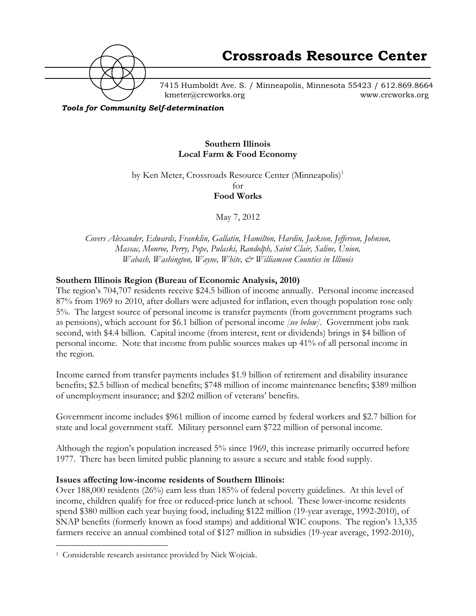

7415 Humboldt Ave. S. / Minneapolis, Minnesota 55423 / 612.869.8664 kmeter@crcworks.org www.crcworks.org

*Tools for Community Self-determination*

#### **Southern Illinois Local Farm & Food Economy**

by Ken Meter, Crossroads Resource Center (Minneapolis)<sup>1</sup>

for **Food Works**

May 7, 2012

*Covers Alexander, Edwards, Franklin, Gallatin, Hamilton, Hardin, Jackson, Jefferson, Johnson, Massac, Monroe, Perry, Pope, Pulaski, Randolph, Saint Clair, Saline, Union, Wabash, Washington, Wayne, White, & Williamson Counties in Illinois*

#### **Southern Illinois Region (Bureau of Economic Analysis, 2010)**

The region's 704,707 residents receive \$24.5 billion of income annually. Personal income increased 87% from 1969 to 2010, after dollars were adjusted for inflation, even though population rose only 5%. The largest source of personal income is transfer payments (from government programs such as pensions), which account for \$6.1 billion of personal income *[see below]*. Government jobs rank second, with \$4.4 billion. Capital income (from interest, rent or dividends) brings in \$4 billion of personal income. Note that income from public sources makes up 41% of all personal income in the region.

Income earned from transfer payments includes \$1.9 billion of retirement and disability insurance benefits; \$2.5 billion of medical benefits; \$748 million of income maintenance benefits; \$389 million of unemployment insurance; and \$202 million of veterans' benefits.

Government income includes \$961 million of income earned by federal workers and \$2.7 billion for state and local government staff. Military personnel earn \$722 million of personal income.

Although the region's population increased 5% since 1969, this increase primarily occurred before 1977. There has been limited public planning to assure a secure and stable food supply.

#### **Issues affecting low-income residents of Southern Illinois:**

Over 188,000 residents (26%) earn less than 185% of federal poverty guidelines. At this level of income, children qualify for free or reduced-price lunch at school. These lower-income residents spend \$380 million each year buying food, including \$122 million (19-year average, 1992-2010), of SNAP benefits (formerly known as food stamps) and additional WIC coupons. The region's 13,335 farmers receive an annual combined total of \$127 million in subsidies (19-year average, 1992-2010),

 <sup>1</sup> Considerable research assistance provided by Nick Wojciak.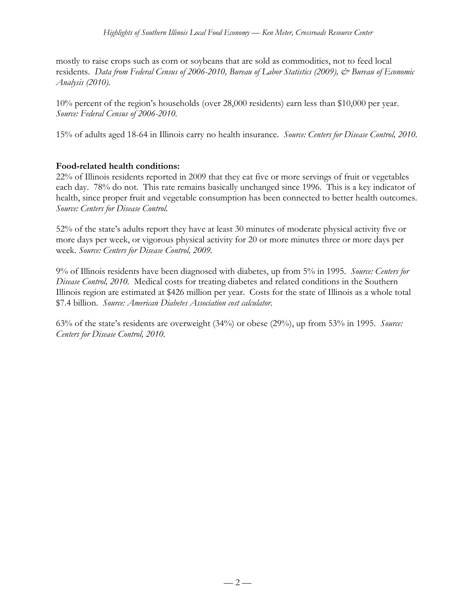mostly to raise crops such as corn or soybeans that are sold as commodities, not to feed local residents. *Data from Federal Census of 2006-2010, Bureau of Labor Statistics (2009), & Bureau of Economic Analysis (2010).*

10% percent of the region's households (over 28,000 residents) earn less than \$10,000 per year. *Source: Federal Census of 2006-2010.*

15% of adults aged 18-64 in Illinois carry no health insurance. *Source: Centers for Disease Control, 2010.*

#### **Food-related health conditions:**

22% of Illinois residents reported in 2009 that they eat five or more servings of fruit or vegetables each day. 78% do not. This rate remains basically unchanged since 1996. This is a key indicator of health, since proper fruit and vegetable consumption has been connected to better health outcomes. *Source: Centers for Disease Control.*

52% of the state's adults report they have at least 30 minutes of moderate physical activity five or more days per week, or vigorous physical activity for 20 or more minutes three or more days per week. *Source: Centers for Disease Control, 2009.*

9% of Illinois residents have been diagnosed with diabetes, up from 5% in 1995. *Source: Centers for Disease Control, 2010.* Medical costs for treating diabetes and related conditions in the Southern Illinois region are estimated at \$426 million per year. Costs for the state of Illinois as a whole total \$7.4 billion. *Source: American Diabetes Association cost calculator.*

63% of the state's residents are overweight (34%) or obese (29%), up from 53% in 1995. *Source: Centers for Disease Control, 2010.*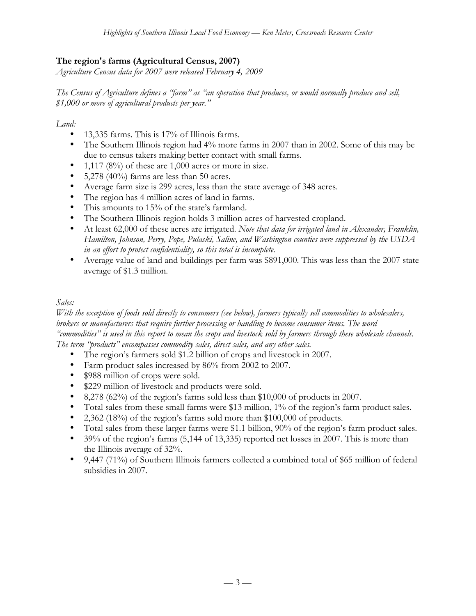## **The region's farms (Agricultural Census, 2007)**

*Agriculture Census data for 2007 were released February 4, 2009*

*The Census of Agriculture defines a "farm" as "an operation that produces, or would normally produce and sell, \$1,000 or more of agricultural products per year."*

*Land:*

- 13,335 farms. This is 17% of Illinois farms.
- The Southern Illinois region had 4% more farms in 2007 than in 2002. Some of this may be due to census takers making better contact with small farms.
- 1,117 (8%) of these are  $1,000$  acres or more in size.
- $5,278$  (40%) farms are less than 50 acres.
- Average farm size is 299 acres, less than the state average of 348 acres.
- The region has 4 million acres of land in farms.
- This amounts to 15% of the state's farmland.
- The Southern Illinois region holds 3 million acres of harvested cropland.
- At least 62,000 of these acres are irrigated. *Note that data for irrigated land in Alexander, Franklin, Hamilton, Johnson, Perry, Pope, Pulaski, Saline, and Washington counties were suppressed by the USDA in an effort to protect confidentiality, so this total is incomplete.*
- Average value of land and buildings per farm was \$891,000. This was less than the 2007 state average of \$1.3 million.

#### *Sales:*

*With the exception of foods sold directly to consumers (see below), farmers typically sell commodities to wholesalers, brokers or manufacturers that require further processing or handling to become consumer items. The word "commodities" is used in this report to mean the crops and livestock sold by farmers through these wholesale channels. The term "products" encompasses commodity sales, direct sales, and any other sales.*

- The region's farmers sold \$1.2 billion of crops and livestock in 2007.
- Farm product sales increased by 86% from 2002 to 2007.
- \$988 million of crops were sold.
- \$229 million of livestock and products were sold.
- 8,278 (62%) of the region's farms sold less than \$10,000 of products in 2007.
- Total sales from these small farms were \$13 million, 1% of the region's farm product sales.
- 2,362 (18%) of the region's farms sold more than \$100,000 of products.
- Total sales from these larger farms were \$1.1 billion, 90% of the region's farm product sales.
- 39% of the region's farms (5,144 of 13,335) reported net losses in 2007. This is more than the Illinois average of 32%.
- 9,447 (71%) of Southern Illinois farmers collected a combined total of \$65 million of federal subsidies in 2007.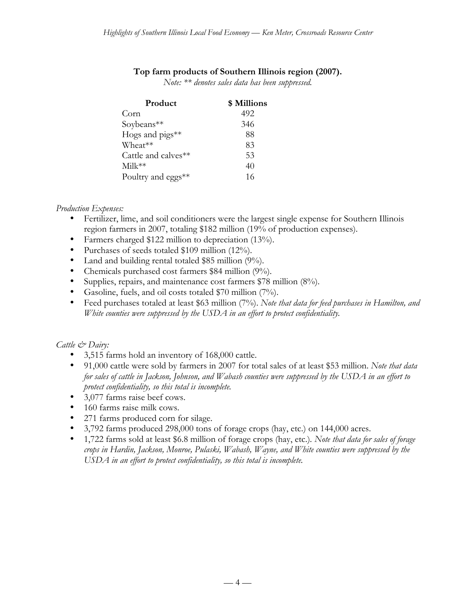#### **Top farm products of Southern Illinois region (2007).**

*Note: \*\* denotes sales data has been suppressed.*

| Product                     | \$ Millions |
|-----------------------------|-------------|
| Corr <sub>n</sub>           | 492         |
| Soybeans**                  | 346         |
| Hogs and $\text{pigs}_{**}$ | 88          |
| Wheat**                     | 83          |
| Cattle and calves**         | 53          |
| $Milk**$                    | 40          |
| Poultry and eggs**          | 16          |

#### *Production Expenses:*

- Fertilizer, lime, and soil conditioners were the largest single expense for Southern Illinois region farmers in 2007, totaling \$182 million (19% of production expenses).
- Farmers charged \$122 million to depreciation (13%).
- Purchases of seeds totaled \$109 million (12%).
- Land and building rental totaled \$85 million (9%).
- Chemicals purchased cost farmers \$84 million (9%).
- Supplies, repairs, and maintenance cost farmers \$78 million (8%).
- Gasoline, fuels, and oil costs totaled \$70 million (7%).
- Feed purchases totaled at least \$63 million (7%). *Note that data for feed purchases in Hamilton, and White counties were suppressed by the USDA in an effort to protect confidentiality.*

#### *Cattle & Dairy:*

- 3,515 farms hold an inventory of 168,000 cattle.
- 91,000 cattle were sold by farmers in 2007 for total sales of at least \$53 million. *Note that data for sales of cattle in Jackson, Johnson, and Wabash counties were suppressed by the USDA in an effort to protect confidentiality, so this total is incomplete.*
- 3,077 farms raise beef cows.
- 160 farms raise milk cows.
- 271 farms produced corn for silage.
- 3,792 farms produced 298,000 tons of forage crops (hay, etc.) on 144,000 acres.
- 1,722 farms sold at least \$6.8 million of forage crops (hay, etc.)*. Note that data for sales of forage crops in Hardin, Jackson, Monroe, Pulaski, Wabash, Wayne, and White counties were suppressed by the USDA in an effort to protect confidentiality, so this total is incomplete.*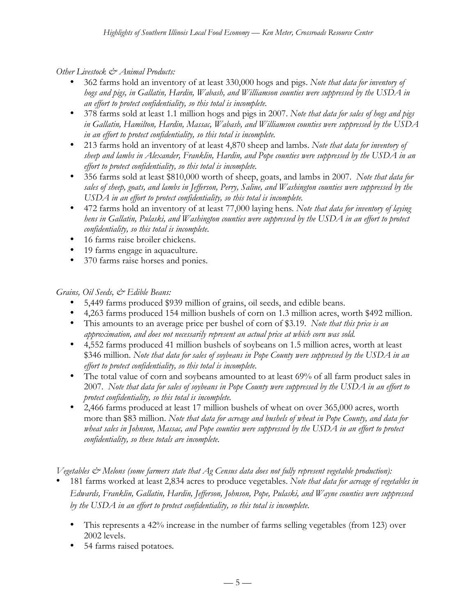*Other Livestock & Animal Products:*

- 362 farms hold an inventory of at least 330,000 hogs and pigs. *Note that data for inventory of hogs and pigs, in Gallatin, Hardin, Wabash, and Williamson counties were suppressed by the USDA in an effort to protect confidentiality, so this total is incomplete.*
- 378 farms sold at least 1.1 million hogs and pigs in 2007. *Note that data for sales of hogs and pigs in Gallatin, Hamilton, Hardin, Massac, Wabash, and Williamson counties were suppressed by the USDA in an effort to protect confidentiality, so this total is incomplete.*
- 213 farms hold an inventory of at least 4,870 sheep and lambs. *Note that data for inventory of sheep and lambs in Alexander, Franklin, Hardin, and Pope counties were suppressed by the USDA in an effort to protect confidentiality, so this total is incomplete.*
- 356 farms sold at least \$810,000 worth of sheep, goats, and lambs in 2007. *Note that data for sales of sheep, goats, and lambs in Jefferson, Perry, Saline, and Washington counties were suppressed by the USDA in an effort to protect confidentiality, so this total is incomplete.*
- 472 farms hold an inventory of at least 77,000 laying hens*. Note that data for inventory of laying hens in Gallatin, Pulaski, and Washington counties were suppressed by the USDA in an effort to protect confidentiality, so this total is incomplete.*
- 16 farms raise broiler chickens.
- 19 farms engage in aquaculture.
- 370 farms raise horses and ponies.

## *Grains, Oil Seeds, & Edible Beans:*

- 5,449 farms produced \$939 million of grains, oil seeds, and edible beans.
- 4,263 farms produced 154 million bushels of corn on 1.3 million acres, worth \$492 million.
- This amounts to an average price per bushel of corn of \$3.19. *Note that this price is an approximation, and does not necessarily represent an actual price at which corn was sold.*
- 4,552 farms produced 41 million bushels of soybeans on 1.5 million acres, worth at least \$346 million. *Note that data for sales of soybeans in Pope County were suppressed by the USDA in an effort to protect confidentiality, so this total is incomplete.*
- The total value of corn and soybeans amounted to at least 69% of all farm product sales in 2007. *Note that data for sales of soybeans in Pope County were suppressed by the USDA in an effort to protect confidentiality, so this total is incomplete.*
- 2,466 farms produced at least 17 million bushels of wheat on over 365,000 acres, worth more than \$83 million. *Note that data for acreage and bushels of wheat in Pope County, and data for wheat sales in Johnson, Massac, and Pope counties were suppressed by the USDA in an effort to protect confidentiality, so these totals are incomplete.*

*Vegetables & Melons (some farmers state that Ag Census data does not fully represent vegetable production):*

• 181 farms worked at least 2,834 acres to produce vegetables. *Note that data for acreage of vegetables in Edwards, Franklin, Gallatin, Hardin, Jefferson, Johnson, Pope, Pulaski, and Wayne counties were suppressed by the USDA in an effort to protect confidentiality, so this total is incomplete.*

- This represents a 42% increase in the number of farms selling vegetables (from 123) over 2002 levels.
- 54 farms raised potatoes*.*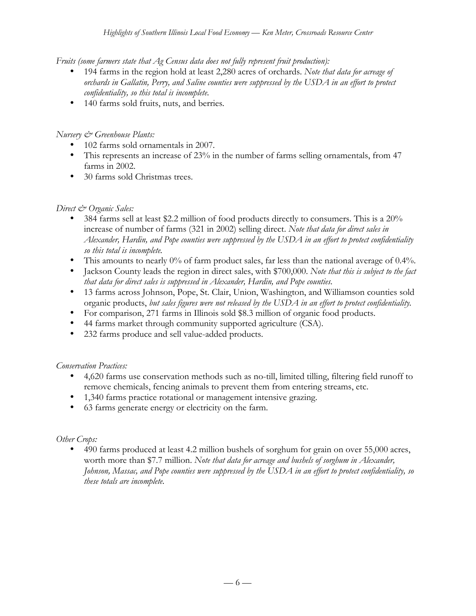*Fruits (some farmers state that Ag Census data does not fully represent fruit production):*

- 194 farms in the region hold at least 2,280 acres of orchards. *Note that data for acreage of orchards in Gallatin, Perry, and Saline counties were suppressed by the USDA in an effort to protect confidentiality, so this total is incomplete.*
- 140 farms sold fruits, nuts, and berries*.*

#### *Nursery & Greenhouse Plants:*

- 102 farms sold ornamentals in 2007.
- This represents an increase of 23% in the number of farms selling ornamentals, from 47 farms in 2002.
- 30 farms sold Christmas trees.

#### *Direct & Organic Sales:*

- 384 farms sell at least \$2.2 million of food products directly to consumers. This is a 20% increase of number of farms (321 in 2002) selling direct. *Note that data for direct sales in Alexander, Hardin, and Pope counties were suppressed by the USDA in an effort to protect confidentiality so this total is incomplete.*
- This amounts to nearly 0% of farm product sales, far less than the national average of 0.4%.
- Jackson County leads the region in direct sales, with \$700,000. *Note that this is subject to the fact that data for direct sales is suppressed in Alexander, Hardin, and Pope counties.*
- 13 farms across Johnson, Pope, St. Clair, Union, Washington, and Williamson counties sold organic products, *but sales figures were not released by the USDA in an effort to protect confidentiality.*
- For comparison, 271 farms in Illinois sold \$8.3 million of organic food products.
- 44 farms market through community supported agriculture (CSA).
- 232 farms produce and sell value-added products.

## *Conservation Practices:*

- 4,620 farms use conservation methods such as no-till, limited tilling, filtering field runoff to remove chemicals, fencing animals to prevent them from entering streams, etc.
- 1,340 farms practice rotational or management intensive grazing.
- 63 farms generate energy or electricity on the farm.

#### *Other Crops:*

• 490 farms produced at least 4.2 million bushels of sorghum for grain on over 55,000 acres, worth more than \$7.7 million. *Note that data for acreage and bushels of sorghum in Alexander, Johnson, Massac, and Pope counties were suppressed by the USDA in an effort to protect confidentiality, so these totals are incomplete.*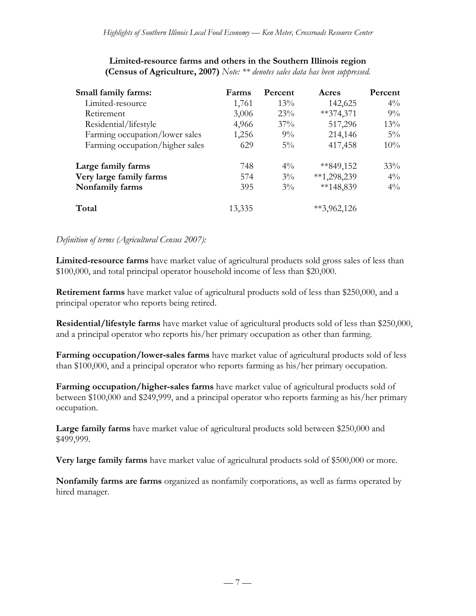| Small family farms:             | Farms  | Percent | Acres         | Percent |
|---------------------------------|--------|---------|---------------|---------|
| Limited-resource                | 1,761  | 13%     | 142,625       | $4\%$   |
| Retirement                      | 3,006  | 23%     | $**374,371$   | $9\%$   |
| Residential/lifestyle           | 4,966  | 37%     | 517,296       | 13%     |
| Farming occupation/lower sales  | 1,256  | $9\%$   | 214,146       | $5\%$   |
| Farming occupation/higher sales | 629    | $5\%$   | 417,458       | $10\%$  |
| Large family farms              | 748    | $4\%$   | $*849,152$    | $33\%$  |
| Very large family farms         | 574    | $3\%$   | $**1,298,239$ | $4\%$   |
| Nonfamily farms                 | 395    | $3\%$   | $**148,839$   | $4\%$   |
| Total                           | 13,335 |         | $*3,962,126$  |         |

#### **Limited-resource farms and others in the Southern Illinois region (Census of Agriculture, 2007)** *Note: \*\* denotes sales data has been suppressed.*

#### *Definition of terms (Agricultural Census 2007):*

**Limited-resource farms** have market value of agricultural products sold gross sales of less than \$100,000, and total principal operator household income of less than \$20,000.

**Retirement farms** have market value of agricultural products sold of less than \$250,000, and a principal operator who reports being retired.

**Residential/lifestyle farms** have market value of agricultural products sold of less than \$250,000, and a principal operator who reports his/her primary occupation as other than farming.

**Farming occupation/lower-sales farms** have market value of agricultural products sold of less than \$100,000, and a principal operator who reports farming as his/her primary occupation.

**Farming occupation/higher-sales farms** have market value of agricultural products sold of between \$100,000 and \$249,999, and a principal operator who reports farming as his/her primary occupation.

**Large family farms** have market value of agricultural products sold between \$250,000 and \$499,999.

**Very large family farms** have market value of agricultural products sold of \$500,000 or more.

**Nonfamily farms are farms** organized as nonfamily corporations, as well as farms operated by hired manager.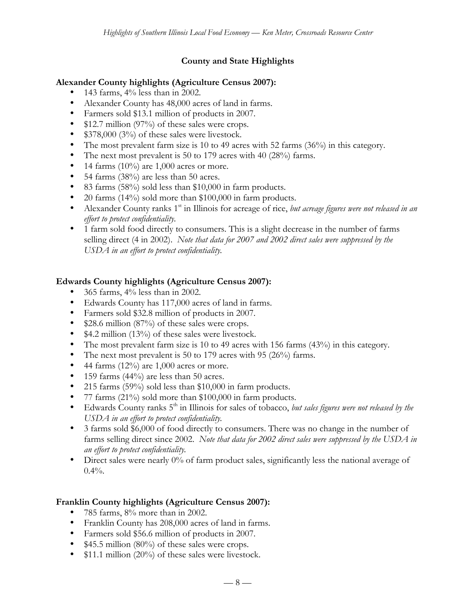## **County and State Highlights**

#### **Alexander County highlights (Agriculture Census 2007):**

- 143 farms,  $4\%$  less than in 2002.
- Alexander County has 48,000 acres of land in farms.
- Farmers sold \$13.1 million of products in 2007.
- \$12.7 million (97%) of these sales were crops.
- \$378,000 (3%) of these sales were livestock.
- The most prevalent farm size is 10 to 49 acres with 52 farms (36%) in this category.
- The next most prevalent is 50 to 179 acres with 40 (28%) farms.
- 14 farms  $(10\%)$  are 1,000 acres or more.
- 54 farms (38%) are less than 50 acres.
- 83 farms (58%) sold less than \$10,000 in farm products.
- 20 farms (14%) sold more than \$100,000 in farm products.
- Alexander County ranks 1<sup>st</sup> in Illinois for acreage of rice, *but acreage figures were not released in an effort to protect confidentiality.*
- 1 farm sold food directly to consumers. This is a slight decrease in the number of farms selling direct (4 in 2002). *Note that data for 2007 and 2002 direct sales were suppressed by the USDA in an effort to protect confidentiality.*

#### **Edwards County highlights (Agriculture Census 2007):**

- 365 farms, 4% less than in 2002.
- Edwards County has 117,000 acres of land in farms.
- Farmers sold \$32.8 million of products in 2007.
- \$28.6 million (87%) of these sales were crops.
- \$4.2 million (13%) of these sales were livestock.
- The most prevalent farm size is 10 to 49 acres with 156 farms (43%) in this category.
- The next most prevalent is 50 to 179 acres with 95 (26%) farms.
- 44 farms  $(12\%)$  are 1,000 acres or more.
- 159 farms (44%) are less than 50 acres.
- 215 farms (59%) sold less than \$10,000 in farm products.
- 77 farms (21%) sold more than \$100,000 in farm products.
- Edwards County ranks 5<sup>th</sup> in Illinois for sales of tobacco, *but sales figures were not released by the USDA in an effort to protect confidentiality.*
- 3 farms sold \$6,000 of food directly to consumers. There was no change in the number of farms selling direct since 2002. *Note that data for 2002 direct sales were suppressed by the USDA in an effort to protect confidentiality.*
- Direct sales were nearly 0% of farm product sales, significantly less the national average of  $0.4%$ .

## **Franklin County highlights (Agriculture Census 2007):**

- 785 farms, 8% more than in 2002.
- Franklin County has 208,000 acres of land in farms.
- Farmers sold \$56.6 million of products in 2007.
- \$45.5 million (80%) of these sales were crops.
- \$11.1 million (20%) of these sales were livestock.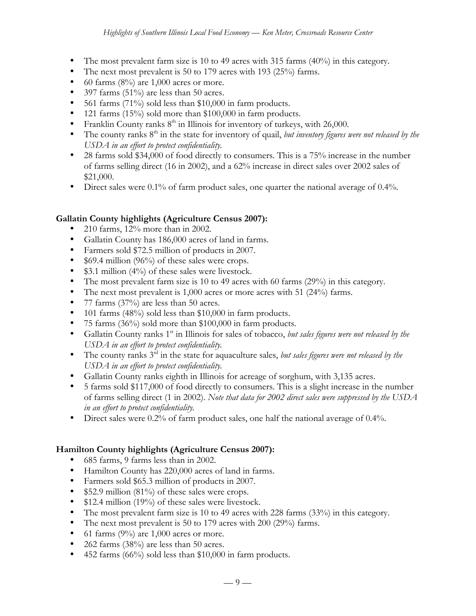- The most prevalent farm size is 10 to 49 acres with 315 farms  $(40\%)$  in this category.
- The next most prevalent is 50 to 179 acres with 193 (25%) farms.
- 60 farms  $(8\%)$  are 1,000 acres or more.
- 397 farms  $(51\%)$  are less than 50 acres.
- 561 farms  $(71\%)$  sold less than \$10,000 in farm products.
- 121 farms (15%) sold more than \$100,000 in farm products.
- Franklin County ranks  $8<sup>th</sup>$  in Illinois for inventory of turkeys, with 26,000.
- The county ranks 8<sup>th</sup> in the state for inventory of quail, *but inventory figures were not released by the USDA in an effort to protect confidentiality.*
- 28 farms sold \$34,000 of food directly to consumers. This is a 75% increase in the number of farms selling direct (16 in 2002), and a 62% increase in direct sales over 2002 sales of \$21,000.
- Direct sales were 0.1% of farm product sales, one quarter the national average of 0.4%.

## **Gallatin County highlights (Agriculture Census 2007):**

- 210 farms, 12% more than in 2002.
- Gallatin County has 186,000 acres of land in farms.
- Farmers sold \$72.5 million of products in 2007.
- \$69.4 million (96%) of these sales were crops.
- \$3.1 million (4%) of these sales were livestock.
- The most prevalent farm size is 10 to 49 acres with 60 farms (29%) in this category.
- The next most prevalent is 1,000 acres or more acres with 51 (24%) farms.
- 77 farms (37%) are less than 50 acres.
- 101 farms (48%) sold less than \$10,000 in farm products.
- 75 farms (36%) sold more than \$100,000 in farm products.
- Gallatin County ranks 1<sup>st</sup> in Illinois for sales of tobacco, *but sales figures were not released by the USDA in an effort to protect confidentiality.*
- The county ranks 3<sup>rd</sup> in the state for aquaculture sales, *but sales figures were not released by the USDA in an effort to protect confidentiality.*
- Gallatin County ranks eighth in Illinois for acreage of sorghum, with 3,135 acres.
- 5 farms sold \$117,000 of food directly to consumers. This is a slight increase in the number of farms selling direct (1 in 2002). *Note that data for 2002 direct sales were suppressed by the USDA in an effort to protect confidentiality.*
- Direct sales were 0.2% of farm product sales, one half the national average of 0.4%.

## **Hamilton County highlights (Agriculture Census 2007):**

- 685 farms, 9 farms less than in 2002.
- Hamilton County has 220,000 acres of land in farms.
- Farmers sold \$65.3 million of products in 2007.
- \$52.9 million (81%) of these sales were crops.
- \$12.4 million (19%) of these sales were livestock.
- The most prevalent farm size is 10 to 49 acres with 228 farms (33%) in this category.
- The next most prevalent is 50 to 179 acres with 200 (29%) farms.
- 61 farms  $(9\%)$  are 1,000 acres or more.
- 262 farms (38%) are less than 50 acres.
- 452 farms (66%) sold less than \$10,000 in farm products.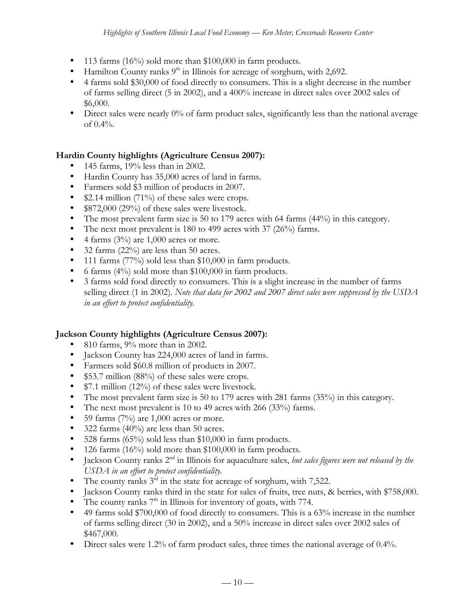- 113 farms (16%) sold more than \$100,000 in farm products.
- Hamilton County ranks  $9<sup>th</sup>$  in Illinois for acreage of sorghum, with 2,692.
- 4 farms sold \$30,000 of food directly to consumers. This is a slight decrease in the number of farms selling direct (5 in 2002), and a 400% increase in direct sales over 2002 sales of \$6,000.
- Direct sales were nearly 0% of farm product sales, significantly less than the national average of 0.4%.

## **Hardin County highlights (Agriculture Census 2007):**

- 145 farms, 19% less than in 2002.
- Hardin County has 35,000 acres of land in farms.
- Farmers sold \$3 million of products in 2007.
- \$2.14 million (71%) of these sales were crops.
- \$872,000 (29%) of these sales were livestock.
- The most prevalent farm size is 50 to 179 acres with 64 farms (44%) in this category.
- The next most prevalent is 180 to 499 acres with 37 (26%) farms.
- 4 farms  $(3\%)$  are 1,000 acres or more.
- 32 farms (22%) are less than 50 acres.
- 111 farms (77%) sold less than \$10,000 in farm products.
- 6 farms (4%) sold more than \$100,000 in farm products.
- 3 farms sold food directly to consumers. This is a slight increase in the number of farms selling direct (1 in 2002). *Note that data for 2002 and 2007 direct sales were suppressed by the USDA in an effort to protect confidentiality.*

## **Jackson County highlights (Agriculture Census 2007):**

- 810 farms, 9% more than in 2002.
- Jackson County has 224,000 acres of land in farms.
- Farmers sold \$60.8 million of products in 2007.
- \$53.7 million (88%) of these sales were crops.
- \$7.1 million (12%) of these sales were livestock.
- The most prevalent farm size is 50 to 179 acres with 281 farms (35%) in this category.
- The next most prevalent is 10 to 49 acres with 266 (33%) farms.
- 59 farms  $(7%)$  are 1,000 acres or more.
- 322 farms  $(40\%)$  are less than 50 acres.
- 528 farms (65%) sold less than \$10,000 in farm products.
- 126 farms (16%) sold more than \$100,000 in farm products.
- Jackson County ranks 2<sup>nd</sup> in Illinois for aquaculture sales, *but sales figures were not released by the USDA in an effort to protect confidentiality.*
- The county ranks  $3<sup>rd</sup>$  in the state for acreage of sorghum, with 7,522.
- Jackson County ranks third in the state for sales of fruits, tree nuts, & berries, with \$758,000.
- The county ranks  $7<sup>th</sup>$  in Illinois for inventory of goats, with 774.
- 49 farms sold \$700,000 of food directly to consumers. This is a 63% increase in the number of farms selling direct (30 in 2002), and a 50% increase in direct sales over 2002 sales of \$467,000.
- Direct sales were 1.2% of farm product sales, three times the national average of 0.4%.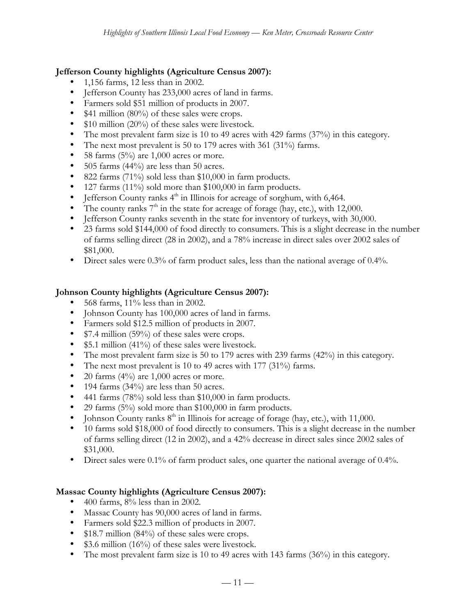## **Jefferson County highlights (Agriculture Census 2007):**

- 1,156 farms, 12 less than in 2002.
- Jefferson County has 233,000 acres of land in farms.
- Farmers sold \$51 million of products in 2007.
- \$41 million (80%) of these sales were crops.
- \$10 million (20%) of these sales were livestock.
- The most prevalent farm size is 10 to 49 acres with 429 farms (37%) in this category.
- The next most prevalent is 50 to 179 acres with 361 (31%) farms.
- 58 farms  $(5\%)$  are 1,000 acres or more.
- 505 farms (44%) are less than 50 acres.
- 822 farms (71%) sold less than \$10,000 in farm products.
- 127 farms (11%) sold more than \$100,000 in farm products.
- Jefferson County ranks  $4<sup>th</sup>$  in Illinois for acreage of sorghum, with 6,464.
- The county ranks  $7<sup>th</sup>$  in the state for acreage of forage (hay, etc.), with 12,000.
- Jefferson County ranks seventh in the state for inventory of turkeys, with 30,000.
- 23 farms sold \$144,000 of food directly to consumers. This is a slight decrease in the number of farms selling direct (28 in 2002), and a 78% increase in direct sales over 2002 sales of \$81,000.
- Direct sales were 0.3% of farm product sales, less than the national average of 0.4%.

#### **Johnson County highlights (Agriculture Census 2007):**

- 568 farms, 11% less than in 2002.
- Johnson County has 100,000 acres of land in farms.
- Farmers sold \$12.5 million of products in 2007.
- \$7.4 million (59%) of these sales were crops.
- \$5.1 million (41%) of these sales were livestock.
- The most prevalent farm size is 50 to 179 acres with 239 farms  $(42%)$  in this category.
- The next most prevalent is 10 to 49 acres with 177 (31%) farms.
- 20 farms  $(4\%)$  are 1,000 acres or more.
- 194 farms  $(34%)$  are less than 50 acres.
- 441 farms (78%) sold less than \$10,000 in farm products.
- 29 farms (5%) sold more than \$100,000 in farm products.
- Johnson County ranks  $8<sup>th</sup>$  in Illinois for acreage of forage (hay, etc.), with 11,000.
- 10 farms sold \$18,000 of food directly to consumers. This is a slight decrease in the number of farms selling direct (12 in 2002), and a 42% decrease in direct sales since 2002 sales of \$31,000.
- Direct sales were 0.1% of farm product sales, one quarter the national average of 0.4%.

## **Massac County highlights (Agriculture Census 2007):**

- $400$  farms,  $8\%$  less than in 2002.
- Massac County has 90,000 acres of land in farms.
- Farmers sold \$22.3 million of products in 2007.
- \$18.7 million (84%) of these sales were crops.
- \$3.6 million (16%) of these sales were livestock.
- The most prevalent farm size is 10 to 49 acres with 143 farms (36%) in this category.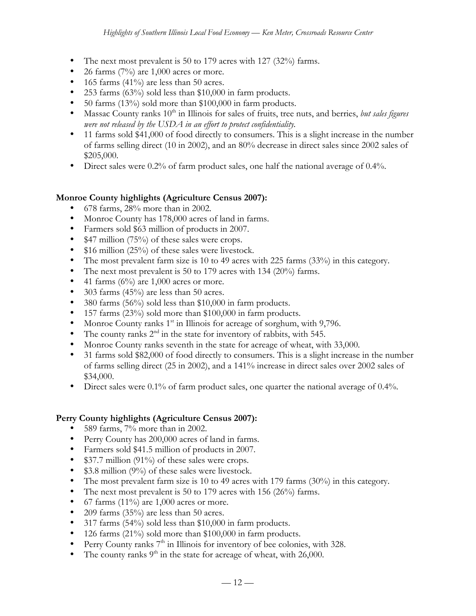- The next most prevalent is 50 to 179 acres with 127 (32%) farms.
- 26 farms  $(7%)$  are 1,000 acres or more.
- 165 farms (41%) are less than 50 acres.
- 253 farms (63%) sold less than \$10,000 in farm products.
- 50 farms (13%) sold more than \$100,000 in farm products.
- Massac County ranks 10<sup>th</sup> in Illinois for sales of fruits, tree nuts, and berries, *but sales figures were not released by the USDA in an effort to protect confidentiality.*
- 11 farms sold \$41,000 of food directly to consumers. This is a slight increase in the number of farms selling direct (10 in 2002), and an 80% decrease in direct sales since 2002 sales of \$205,000.
- Direct sales were 0.2% of farm product sales, one half the national average of 0.4%.

## **Monroe County highlights (Agriculture Census 2007):**

- 678 farms, 28% more than in 2002.
- Monroe County has 178,000 acres of land in farms.
- Farmers sold \$63 million of products in 2007.
- \$47 million (75%) of these sales were crops.
- \$16 million (25%) of these sales were livestock.
- The most prevalent farm size is 10 to 49 acres with 225 farms (33%) in this category.
- The next most prevalent is 50 to 179 acres with 134 (20%) farms.
- 41 farms  $(6\%)$  are 1,000 acres or more.
- 303 farms (45%) are less than 50 acres.
- 380 farms (56%) sold less than \$10,000 in farm products.
- 157 farms (23%) sold more than \$100,000 in farm products.
- Monroe County ranks  $1<sup>st</sup>$  in Illinois for acreage of sorghum, with 9,796.
- The county ranks  $2<sup>nd</sup>$  in the state for inventory of rabbits, with 545.
- Monroe County ranks seventh in the state for acreage of wheat, with 33,000.
- 31 farms sold \$82,000 of food directly to consumers. This is a slight increase in the number of farms selling direct (25 in 2002), and a 141% increase in direct sales over 2002 sales of \$34,000.
- Direct sales were 0.1% of farm product sales, one quarter the national average of 0.4%.

## **Perry County highlights (Agriculture Census 2007):**

- 589 farms, 7% more than in 2002.
- Perry County has 200,000 acres of land in farms.
- Farmers sold \$41.5 million of products in 2007.
- \$37.7 million (91%) of these sales were crops.
- \$3.8 million (9%) of these sales were livestock.
- The most prevalent farm size is 10 to 49 acres with 179 farms (30%) in this category.
- The next most prevalent is 50 to 179 acres with 156 (26%) farms.
- 67 farms  $(11\%)$  are 1,000 acres or more.
- 209 farms  $(35\%)$  are less than 50 acres.
- 317 farms (54%) sold less than \$10,000 in farm products.
- 126 farms (21%) sold more than \$100,000 in farm products.
- Perry County ranks  $7<sup>th</sup>$  in Illinois for inventory of bee colonies, with 328.
- The county ranks  $9<sup>th</sup>$  in the state for acreage of wheat, with 26,000.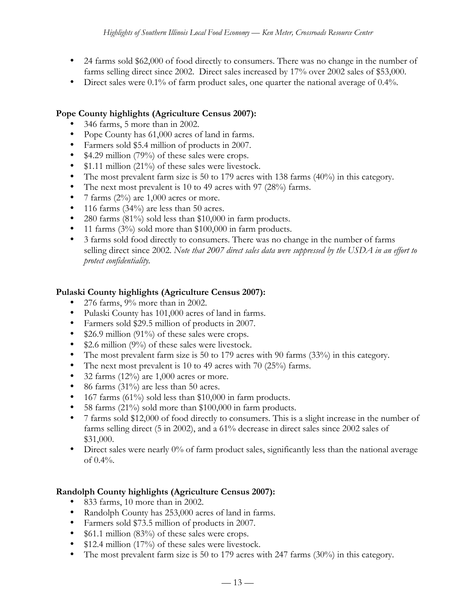- 24 farms sold \$62,000 of food directly to consumers. There was no change in the number of farms selling direct since 2002. Direct sales increased by 17% over 2002 sales of \$53,000.
- Direct sales were 0.1% of farm product sales, one quarter the national average of 0.4%.

#### **Pope County highlights (Agriculture Census 2007):**

- 346 farms, 5 more than in 2002.
- Pope County has 61,000 acres of land in farms.
- Farmers sold \$5.4 million of products in 2007.
- \$4.29 million (79%) of these sales were crops.
- \$1.11 million (21%) of these sales were livestock.
- The most prevalent farm size is 50 to 179 acres with 138 farms (40%) in this category.
- The next most prevalent is 10 to 49 acres with 97 (28%) farms.
- 7 farms  $(2\%)$  are 1,000 acres or more.
- 116 farms (34%) are less than 50 acres.
- 280 farms (81%) sold less than \$10,000 in farm products.
- 11 farms (3%) sold more than \$100,000 in farm products.
- 3 farms sold food directly to consumers. There was no change in the number of farms selling direct since 2002. *Note that 2007 direct sales data were suppressed by the USDA in an effort to protect confidentiality.*

#### **Pulaski County highlights (Agriculture Census 2007):**

- 276 farms, 9% more than in 2002.
- Pulaski County has 101,000 acres of land in farms.
- Farmers sold \$29.5 million of products in 2007.
- \$26.9 million (91%) of these sales were crops.
- \$2.6 million (9%) of these sales were livestock.
- The most prevalent farm size is 50 to 179 acres with 90 farms (33%) in this category.
- The next most prevalent is 10 to 49 acres with 70 (25%) farms.
- 32 farms  $(12\%)$  are 1,000 acres or more.
- 86 farms (31%) are less than 50 acres.
- 167 farms (61%) sold less than \$10,000 in farm products.
- 58 farms (21%) sold more than \$100,000 in farm products.
- 7 farms sold \$12,000 of food directly to consumers. This is a slight increase in the number of farms selling direct (5 in 2002), and a 61% decrease in direct sales since 2002 sales of \$31,000.
- Direct sales were nearly 0% of farm product sales, significantly less than the national average of  $0.4\%$ .

## **Randolph County highlights (Agriculture Census 2007):**

- 833 farms, 10 more than in 2002.
- Randolph County has 253,000 acres of land in farms.
- Farmers sold \$73.5 million of products in 2007.
- \$61.1 million (83%) of these sales were crops.
- \$12.4 million (17%) of these sales were livestock.
- The most prevalent farm size is 50 to 179 acres with 247 farms (30%) in this category.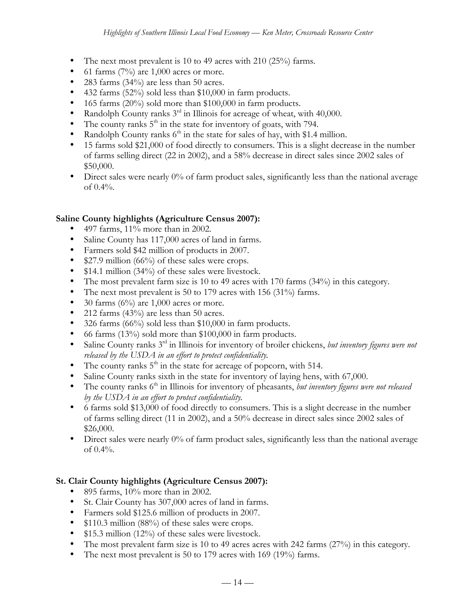- The next most prevalent is 10 to 49 acres with 210 (25%) farms.
- 61 farms  $(7%)$  are 1,000 acres or more.
- 283 farms (34%) are less than 50 acres.
- 432 farms (52%) sold less than \$10,000 in farm products.
- 165 farms (20%) sold more than \$100,000 in farm products.
- Randolph County ranks  $3^{rd}$  in Illinois for acreage of wheat, with 40,000.
- The county ranks  $5<sup>th</sup>$  in the state for inventory of goats, with 794.
- Randolph County ranks  $6<sup>th</sup>$  in the state for sales of hay, with \$1.4 million.
- 15 farms sold \$21,000 of food directly to consumers. This is a slight decrease in the number of farms selling direct (22 in 2002), and a 58% decrease in direct sales since 2002 sales of \$50,000.
- Direct sales were nearly 0% of farm product sales, significantly less than the national average of 0.4%.

## **Saline County highlights (Agriculture Census 2007):**

- 497 farms,  $11\%$  more than in 2002.
- Saline County has 117,000 acres of land in farms.
- Farmers sold \$42 million of products in 2007.
- \$27.9 million (66%) of these sales were crops.
- \$14.1 million (34%) of these sales were livestock.
- The most prevalent farm size is 10 to 49 acres with 170 farms (34%) in this category.
- The next most prevalent is 50 to 179 acres with 156 (31%) farms.
- 30 farms  $(6\%)$  are 1,000 acres or more.
- 212 farms  $(43%)$  are less than 50 acres.
- 326 farms (66%) sold less than \$10,000 in farm products.
- 66 farms  $(13\%)$  sold more than \$100,000 in farm products.
- Saline County ranks 3rd in Illinois for inventory of broiler chickens, *but inventory figures were not released by the USDA in an effort to protect confidentiality.*
- The county ranks  $5<sup>th</sup>$  in the state for acreage of popcorn, with 514.
- Saline County ranks sixth in the state for inventory of laying hens, with 67,000.
- The county ranks 6<sup>th</sup> in Illinois for inventory of pheasants, *but inventory figures were not released by the USDA in an effort to protect confidentiality.*
- 6 farms sold \$13,000 of food directly to consumers. This is a slight decrease in the number of farms selling direct (11 in 2002), and a 50% decrease in direct sales since 2002 sales of \$26,000.
- Direct sales were nearly 0% of farm product sales, significantly less than the national average of 0.4%.

# **St. Clair County highlights (Agriculture Census 2007):**

- 895 farms, 10% more than in 2002.
- St. Clair County has 307,000 acres of land in farms.
- Farmers sold \$125.6 million of products in 2007.
- \$110.3 million (88%) of these sales were crops.
- \$15.3 million (12%) of these sales were livestock.
- The most prevalent farm size is 10 to 49 acres acres with 242 farms (27%) in this category.
- The next most prevalent is 50 to 179 acres with 169 (19%) farms.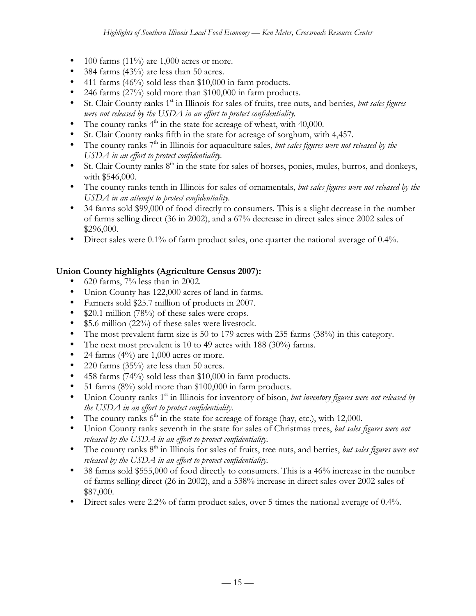- $100$  farms (11%) are 1,000 acres or more.
- 384 farms (43%) are less than 50 acres.
- 411 farms (46%) sold less than \$10,000 in farm products.
- 246 farms (27%) sold more than \$100,000 in farm products.
- St. Clair County ranks 1<sup>st</sup> in Illinois for sales of fruits, tree nuts, and berries, *but sales figures were not released by the USDA in an effort to protect confidentiality.*
- The county ranks  $4<sup>th</sup>$  in the state for acreage of wheat, with 40,000.
- St. Clair County ranks fifth in the state for acreage of sorghum, with 4,457.
- The county ranks 7<sup>th</sup> in Illinois for aquaculture sales, *but sales figures were not released by the USDA in an effort to protect confidentiality.*
- St. Clair County ranks  $8<sup>th</sup>$  in the state for sales of horses, ponies, mules, burros, and donkeys, with \$546,000.
- The county ranks tenth in Illinois for sales of ornamentals, *but sales figures were not released by the USDA in an attempt to protect confidentiality.*
- 34 farms sold \$99,000 of food directly to consumers. This is a slight decrease in the number of farms selling direct (36 in 2002), and a 67% decrease in direct sales since 2002 sales of \$296,000.
- Direct sales were 0.1% of farm product sales, one quarter the national average of 0.4%.

## **Union County highlights (Agriculture Census 2007):**

- 620 farms, 7% less than in 2002.
- Union County has 122,000 acres of land in farms.
- Farmers sold \$25.7 million of products in 2007.
- \$20.1 million (78%) of these sales were crops.
- \$5.6 million (22%) of these sales were livestock.
- The most prevalent farm size is 50 to 179 acres with 235 farms (38%) in this category.
- The next most prevalent is 10 to 49 acres with 188 (30%) farms.
- 24 farms  $(4\%)$  are 1,000 acres or more.
- 220 farms  $(35\%)$  are less than 50 acres.
- 458 farms (74%) sold less than \$10,000 in farm products.
- 51 farms (8%) sold more than \$100,000 in farm products.
- Union County ranks 1<sup>st</sup> in Illinois for inventory of bison, *but inventory figures were not released by the USDA in an effort to protect confidentiality.*
- The county ranks  $6<sup>th</sup>$  in the state for acreage of forage (hay, etc.), with 12,000.
- Union County ranks seventh in the state for sales of Christmas trees, *but sales figures were not released by the USDA in an effort to protect confidentiality.*
- The county ranks  $8<sup>th</sup>$  in Illinois for sales of fruits, tree nuts, and berries, *but sales figures were not released by the USDA in an effort to protect confidentiality.*
- 38 farms sold \$555,000 of food directly to consumers. This is a 46% increase in the number of farms selling direct (26 in 2002), and a 538% increase in direct sales over 2002 sales of \$87,000.
- Direct sales were 2.2% of farm product sales, over 5 times the national average of 0.4%.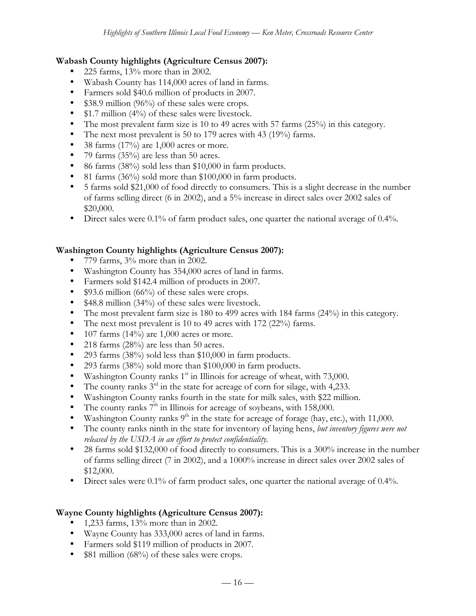#### **Wabash County highlights (Agriculture Census 2007):**

- 225 farms, 13% more than in 2002.
- Wabash County has 114,000 acres of land in farms.
- Farmers sold \$40.6 million of products in 2007.
- \$38.9 million (96%) of these sales were crops.
- \$1.7 million (4%) of these sales were livestock.
- The most prevalent farm size is 10 to 49 acres with 57 farms (25%) in this category.
- The next most prevalent is 50 to 179 acres with 43 (19%) farms.
- 38 farms  $(17%)$  are 1,000 acres or more.
- 79 farms (35%) are less than 50 acres.
- 86 farms (38%) sold less than \$10,000 in farm products.
- 81 farms (36%) sold more than \$100,000 in farm products.
- 5 farms sold \$21,000 of food directly to consumers. This is a slight decrease in the number of farms selling direct (6 in 2002), and a 5% increase in direct sales over 2002 sales of \$20,000.
- Direct sales were 0.1% of farm product sales, one quarter the national average of 0.4%.

#### **Washington County highlights (Agriculture Census 2007):**

- 779 farms, 3% more than in 2002.
- Washington County has 354,000 acres of land in farms.
- Farmers sold \$142.4 million of products in 2007.
- \$93.6 million (66%) of these sales were crops.
- \$48.8 million (34%) of these sales were livestock.
- The most prevalent farm size is 180 to 499 acres with 184 farms (24%) in this category.
- The next most prevalent is 10 to 49 acres with 172 (22%) farms.
- 107 farms  $(14\%)$  are 1,000 acres or more.
- 218 farms (28%) are less than 50 acres.
- 293 farms (38%) sold less than \$10,000 in farm products.
- 293 farms  $(38\%)$  sold more than \$100,000 in farm products.
- Washington County ranks  $1<sup>st</sup>$  in Illinois for acreage of wheat, with 73,000.
- The county ranks  $3^{rd}$  in the state for acreage of corn for silage, with 4,233.
- Washington County ranks fourth in the state for milk sales, with \$22 million.
- The county ranks  $7<sup>th</sup>$  in Illinois for acreage of soybeans, with 158,000.
- Washington County ranks  $9<sup>th</sup>$  in the state for acreage of forage (hay, etc.), with 11,000.
- The county ranks ninth in the state for inventory of laying hens, *but inventory figures were not released by the USDA in an effort to protect confidentiality.*
- 28 farms sold \$132,000 of food directly to consumers. This is a 300% increase in the number of farms selling direct (7 in 2002), and a 1000% increase in direct sales over 2002 sales of \$12,000.
- Direct sales were 0.1% of farm product sales, one quarter the national average of 0.4%.

#### **Wayne County highlights (Agriculture Census 2007):**

- 1,233 farms, 13% more than in 2002.
- Wayne County has 333,000 acres of land in farms.
- Farmers sold \$119 million of products in 2007.
- \$81 million (68%) of these sales were crops.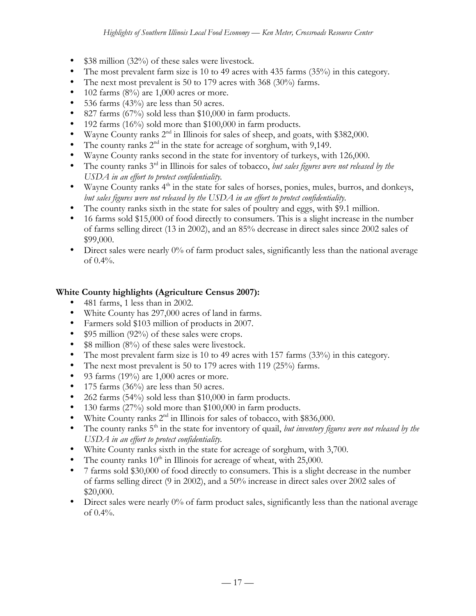- \$38 million (32%) of these sales were livestock.
- The most prevalent farm size is 10 to 49 acres with 435 farms (35%) in this category.
- The next most prevalent is 50 to 179 acres with 368 (30%) farms.
- 102 farms  $(8\%)$  are 1,000 acres or more.
- 536 farms (43%) are less than 50 acres.
- 827 farms (67%) sold less than \$10,000 in farm products.
- 192 farms (16%) sold more than \$100,000 in farm products.
- Wayne County ranks  $2<sup>nd</sup>$  in Illinois for sales of sheep, and goats, with \$382,000.
- The county ranks  $2<sup>nd</sup>$  in the state for acreage of sorghum, with 9,149.
- Wayne County ranks second in the state for inventory of turkeys, with 126,000.
- The county ranks 3rd in Illinois for sales of tobacco, *but sales figures were not released by the USDA in an effort to protect confidentiality.*
- Wayne County ranks  $4<sup>th</sup>$  in the state for sales of horses, ponies, mules, burros, and donkeys, *but sales figures were not released by the USDA in an effort to protect confidentiality.*
- The county ranks sixth in the state for sales of poultry and eggs, with \$9.1 million.
- 16 farms sold \$15,000 of food directly to consumers. This is a slight increase in the number of farms selling direct (13 in 2002), and an 85% decrease in direct sales since 2002 sales of \$99,000.
- Direct sales were nearly 0% of farm product sales, significantly less than the national average of 0.4%.

#### **White County highlights (Agriculture Census 2007):**

- 481 farms, 1 less than in 2002.
- White County has 297,000 acres of land in farms.
- Farmers sold \$103 million of products in 2007.
- \$95 million (92%) of these sales were crops.
- \$8 million (8%) of these sales were livestock.
- The most prevalent farm size is 10 to 49 acres with 157 farms (33%) in this category.
- The next most prevalent is 50 to 179 acres with 119 (25%) farms.
- 93 farms (19%) are  $1,000$  acres or more.
- 175 farms  $(36\%)$  are less than 50 acres.
- 262 farms (54%) sold less than \$10,000 in farm products.
- 130 farms (27%) sold more than \$100,000 in farm products.
- White County ranks  $2<sup>nd</sup>$  in Illinois for sales of tobacco, with \$836,000.
- The county ranks 5<sup>th</sup> in the state for inventory of quail, *but inventory figures were not released by the USDA in an effort to protect confidentiality.*
- White County ranks sixth in the state for acreage of sorghum, with 3,700.
- The county ranks  $10^{th}$  in Illinois for acreage of wheat, with 25,000.
- 7 farms sold \$30,000 of food directly to consumers. This is a slight decrease in the number of farms selling direct (9 in 2002), and a 50% increase in direct sales over 2002 sales of \$20,000.
- Direct sales were nearly 0% of farm product sales, significantly less than the national average of 0.4%.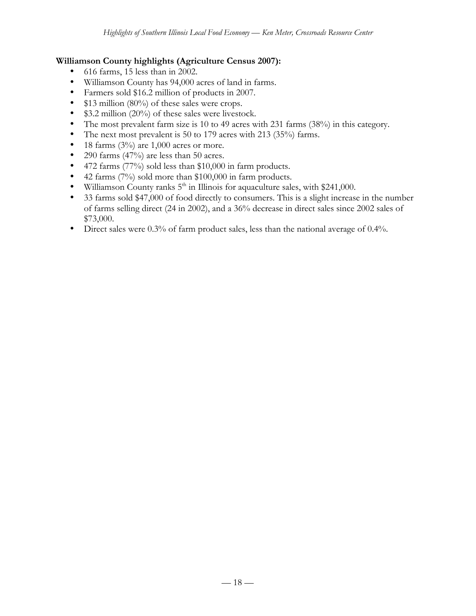#### **Williamson County highlights (Agriculture Census 2007):**

- 616 farms, 15 less than in 2002.
- Williamson County has 94,000 acres of land in farms.
- Farmers sold \$16.2 million of products in 2007.
- \$13 million (80%) of these sales were crops.
- \$3.2 million (20%) of these sales were livestock.
- The most prevalent farm size is 10 to 49 acres with 231 farms (38%) in this category.
- The next most prevalent is 50 to 179 acres with 213 (35%) farms.
- 18 farms  $(3\%)$  are 1,000 acres or more.
- 290 farms (47%) are less than 50 acres.
- 472 farms (77%) sold less than \$10,000 in farm products.
- 42 farms (7%) sold more than \$100,000 in farm products.
- Williamson County ranks  $5<sup>th</sup>$  in Illinois for aquaculture sales, with \$241,000.
- 33 farms sold \$47,000 of food directly to consumers. This is a slight increase in the number of farms selling direct (24 in 2002), and a 36% decrease in direct sales since 2002 sales of \$73,000.
- Direct sales were 0.3% of farm product sales, less than the national average of 0.4%.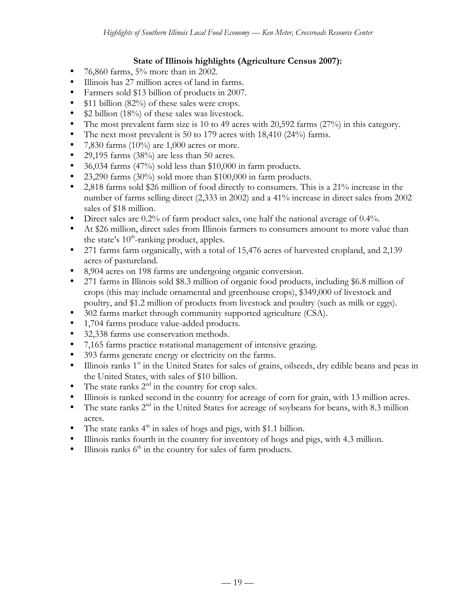## **State of Illinois highlights (Agriculture Census 2007):**

- 76,860 farms,  $5%$  more than in 2002.
- Illinois has 27 million acres of land in farms.
- Farmers sold \$13 billion of products in 2007.
- \$11 billion (82%) of these sales were crops.
- \$2 billion (18%) of these sales was livestock.
- The most prevalent farm size is 10 to 49 acres with 20,592 farms (27%) in this category.
- The next most prevalent is 50 to 179 acres with 18,410 (24%) farms.
- 7,830 farms  $(10\%)$  are 1,000 acres or more.
- 29,195 farms (38%) are less than 50 acres.
- 36,034 farms (47%) sold less than \$10,000 in farm products.
- 23,290 farms (30%) sold more than \$100,000 in farm products.
- 2,818 farms sold \$26 million of food directly to consumers. This is a 21% increase in the number of farms selling direct (2,333 in 2002) and a 41% increase in direct sales from 2002 sales of \$18 million.
- Direct sales are 0.2% of farm product sales, one half the national average of 0.4%.
- At \$26 million, direct sales from Illinois farmers to consumers amount to more value than the state's  $10^{th}$ -ranking product, apples.
- 271 farms farm organically, with a total of 15,476 acres of harvested cropland, and 2,139 acres of pastureland.
- 8,904 acres on 198 farms are undergoing organic conversion.
- 271 farms in Illinois sold \$8.3 million of organic food products, including \$6.8 million of crops (this may include ornamental and greenhouse crops), \$349,000 of livestock and poultry, and \$1.2 million of products from livestock and poultry (such as milk or eggs).
- 302 farms market through community supported agriculture (CSA).
- 1,704 farms produce value-added products.
- 32,338 farms use conservation methods.
- 7,165 farms practice rotational management of intensive grazing.
- 393 farms generate energy or electricity on the farms.
- Illinois ranks 1<sup>st</sup> in the United States for sales of grains, oilseeds, dry edible beans and peas in the United States, with sales of \$10 billion.
- The state ranks  $2<sup>nd</sup>$  in the country for crop sales.
- Illinois is ranked second in the country for acreage of corn for grain, with 13 million acres.
- The state ranks  $2<sup>nd</sup>$  in the United States for acreage of soybeans for beans, with 8.3 million acres.
- The state ranks  $4<sup>th</sup>$  in sales of hogs and pigs, with \$1.1 billion.
- Illinois ranks fourth in the country for inventory of hogs and pigs, with 4.3 million.
- Illinois ranks  $6<sup>th</sup>$  in the country for sales of farm products.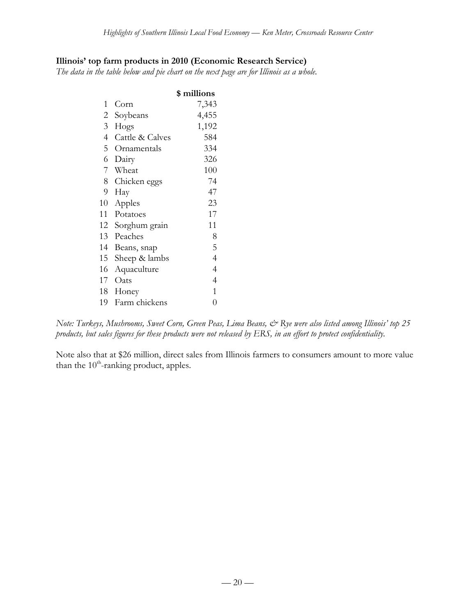#### **Illinois' top farm products in 2010 (Economic Research Service)**

*The data in the table below and pie chart on the next page are for Illinois as a whole.*

|                 |                  | \$ millions    |
|-----------------|------------------|----------------|
| 1               | Corn             | 7,343          |
| 2               | Soybeans         | 4,455          |
| 3 <sup>7</sup>  | Hogs             | 1,192          |
| 4 <sup>1</sup>  | Cattle & Calves  | 584            |
| 5 <sup>5</sup>  | Ornamentals      | 334            |
| 6               | Dairy            | 326            |
| $7\phantom{.0}$ | Wheat            | 100            |
|                 | 8 Chicken eggs   | 74             |
| 9               | Hay              | 47             |
| 10              | Apples           | 23             |
| 11              | Potatoes         | 17             |
|                 | 12 Sorghum grain | 11             |
| 13              | Peaches          | 8              |
| 14              | Beans, snap      | 5              |
| 15              | Sheep & lambs    | $\overline{4}$ |
| 16              | Aquaculture      | 4              |
| 17              | Oats             | 4              |
| 18              | Honey            | 1              |
| 19              | Farm chickens    | $\overline{0}$ |

*Note: Turkeys, Mushrooms, Sweet Corn, Green Peas, Lima Beans, & Rye were also listed among Illinois' top 25 products, but sales figures for these products were not released by ERS, in an effort to protect confidentiality.*

Note also that at \$26 million, direct sales from Illinois farmers to consumers amount to more value than the  $10^{th}$ -ranking product, apples.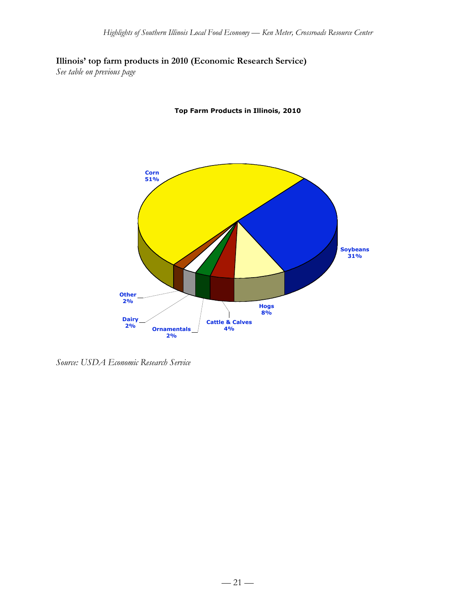**Illinois' top farm products in 2010 (Economic Research Service)**

*See table on previous page*





*Source: USDA Economic Research Service*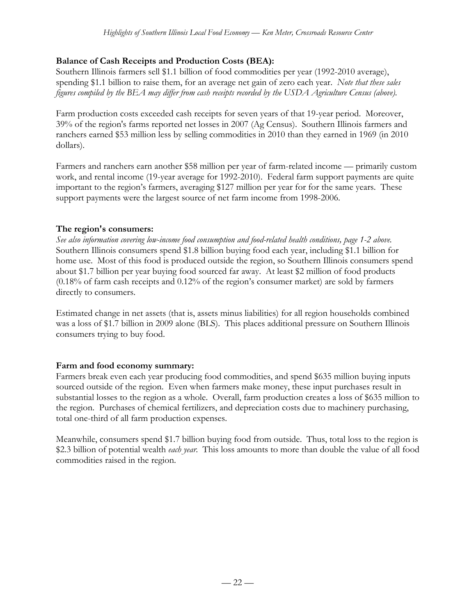## **Balance of Cash Receipts and Production Costs (BEA):**

Southern Illinois farmers sell \$1.1 billion of food commodities per year (1992-2010 average), spending \$1.1 billion to raise them, for an average net gain of zero each year. *Note that these sales figures compiled by the BEA may differ from cash receipts recorded by the USDA Agriculture Census (above).*

Farm production costs exceeded cash receipts for seven years of that 19-year period. Moreover, 39% of the region's farms reported net losses in 2007 (Ag Census). Southern Illinois farmers and ranchers earned \$53 million less by selling commodities in 2010 than they earned in 1969 (in 2010 dollars).

Farmers and ranchers earn another \$58 million per year of farm-related income — primarily custom work, and rental income (19-year average for 1992-2010). Federal farm support payments are quite important to the region's farmers, averaging \$127 million per year for for the same years. These support payments were the largest source of net farm income from 1998-2006.

## **The region's consumers:**

*See also information covering low-income food consumption and food-related health conditions, page 1-2 above.* Southern Illinois consumers spend \$1.8 billion buying food each year, including \$1.1 billion for home use. Most of this food is produced outside the region, so Southern Illinois consumers spend about \$1.7 billion per year buying food sourced far away. At least \$2 million of food products (0.18% of farm cash receipts and 0.12% of the region's consumer market) are sold by farmers directly to consumers.

Estimated change in net assets (that is, assets minus liabilities) for all region households combined was a loss of \$1.7 billion in 2009 alone (BLS). This places additional pressure on Southern Illinois consumers trying to buy food.

## **Farm and food economy summary:**

Farmers break even each year producing food commodities, and spend \$635 million buying inputs sourced outside of the region. Even when farmers make money, these input purchases result in substantial losses to the region as a whole. Overall, farm production creates a loss of \$635 million to the region. Purchases of chemical fertilizers, and depreciation costs due to machinery purchasing, total one-third of all farm production expenses.

Meanwhile, consumers spend \$1.7 billion buying food from outside. Thus, total loss to the region is \$2.3 billion of potential wealth *each year*. This loss amounts to more than double the value of all food commodities raised in the region.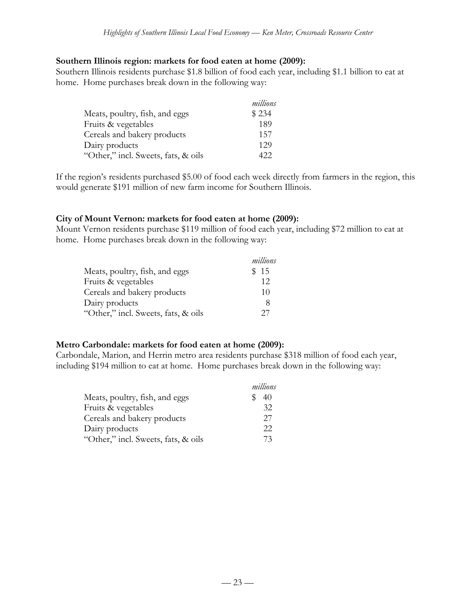#### **Southern Illinois region: markets for food eaten at home (2009):**

Southern Illinois residents purchase \$1.8 billion of food each year, including \$1.1 billion to eat at home. Home purchases break down in the following way:

|                                     | millions |
|-------------------------------------|----------|
| Meats, poultry, fish, and eggs      | \$234    |
| Fruits & vegetables                 | 189      |
| Cereals and bakery products         | 157      |
| Dairy products                      | 129      |
| "Other," incl. Sweets, fats, & oils | 422.     |

If the region's residents purchased \$5.00 of food each week directly from farmers in the region, this would generate \$191 million of new farm income for Southern Illinois.

#### **City of Mount Vernon: markets for food eaten at home (2009):**

Mount Vernon residents purchase \$119 million of food each year, including \$72 million to eat at home. Home purchases break down in the following way:

|                                     | millions |
|-------------------------------------|----------|
| Meats, poultry, fish, and eggs      | \$15     |
| Fruits & vegetables                 | 12       |
| Cereals and bakery products         | 10       |
| Dairy products                      | 8        |
| "Other," incl. Sweets, fats, & oils | 27       |

#### **Metro Carbondale: markets for food eaten at home (2009):**

Carbondale, Marion, and Herrin metro area residents purchase \$318 million of food each year, including \$194 million to eat at home. Home purchases break down in the following way:

|                                     | millions |
|-------------------------------------|----------|
| Meats, poultry, fish, and eggs      | 40       |
| Fruits & vegetables                 | 32       |
| Cereals and bakery products         | 27       |
| Dairy products                      | 22       |
| "Other," incl. Sweets, fats, & oils | 73       |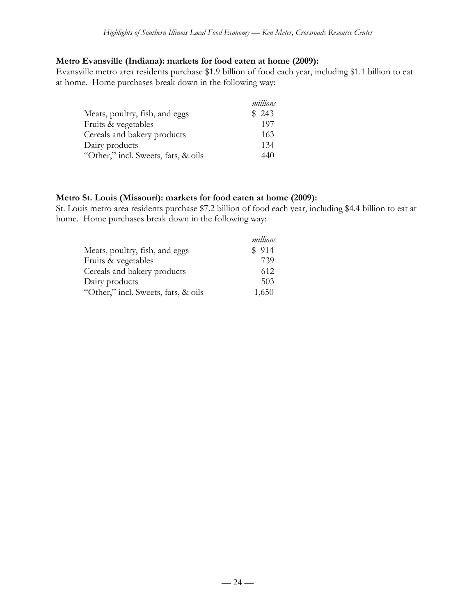#### **Metro Evansville (Indiana): markets for food eaten at home (2009):**

Evansville metro area residents purchase \$1.9 billion of food each year, including \$1.1 billion to eat at home. Home purchases break down in the following way:

|                                     | millions |
|-------------------------------------|----------|
| Meats, poultry, fish, and eggs      | \$243    |
| Fruits & vegetables                 | 197      |
| Cereals and bakery products         | 163      |
| Dairy products                      | 134      |
| "Other," incl. Sweets, fats, & oils | 440      |

#### **Metro St. Louis (Missouri): markets for food eaten at home (2009):**

St. Louis metro area residents purchase \$7.2 billion of food each year, including \$4.4 billion to eat at home. Home purchases break down in the following way:

|                                     | millions |
|-------------------------------------|----------|
| Meats, poultry, fish, and eggs      | \$914    |
| Fruits & vegetables                 | 739      |
| Cereals and bakery products         | 612      |
| Dairy products                      | 503      |
| "Other," incl. Sweets, fats, & oils | 1,650    |